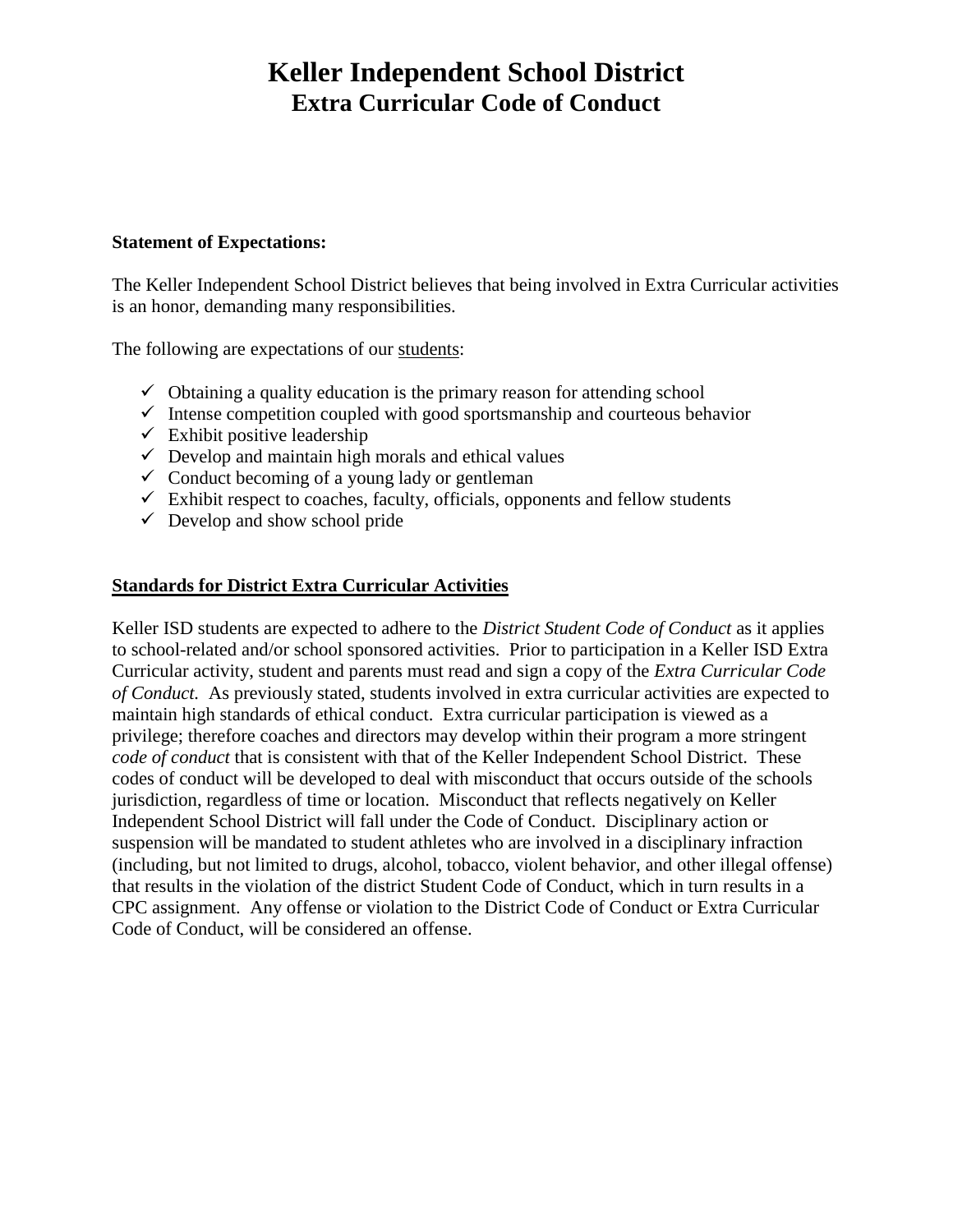# **Keller Independent School District Extra Curricular Code of Conduct**

#### **Statement of Expectations:**

The Keller Independent School District believes that being involved in Extra Curricular activities is an honor, demanding many responsibilities.

The following are expectations of our students:

- $\checkmark$  Obtaining a quality education is the primary reason for attending school
- $\checkmark$  Intense competition coupled with good sportsmanship and courteous behavior
- $\checkmark$  Exhibit positive leadership
- $\checkmark$  Develop and maintain high morals and ethical values
- $\checkmark$  Conduct becoming of a young lady or gentleman
- $\checkmark$  Exhibit respect to coaches, faculty, officials, opponents and fellow students
- $\checkmark$  Develop and show school pride

### **Standards for District Extra Curricular Activities**

Keller ISD students are expected to adhere to the *District Student Code of Conduct* as it applies to school-related and/or school sponsored activities. Prior to participation in a Keller ISD Extra Curricular activity, student and parents must read and sign a copy of the *Extra Curricular Code of Conduct.* As previously stated, students involved in extra curricular activities are expected to maintain high standards of ethical conduct. Extra curricular participation is viewed as a privilege; therefore coaches and directors may develop within their program a more stringent *code of conduct* that is consistent with that of the Keller Independent School District. These codes of conduct will be developed to deal with misconduct that occurs outside of the schools jurisdiction, regardless of time or location. Misconduct that reflects negatively on Keller Independent School District will fall under the Code of Conduct. Disciplinary action or suspension will be mandated to student athletes who are involved in a disciplinary infraction (including, but not limited to drugs, alcohol, tobacco, violent behavior, and other illegal offense) that results in the violation of the district Student Code of Conduct, which in turn results in a CPC assignment. Any offense or violation to the District Code of Conduct or Extra Curricular Code of Conduct, will be considered an offense.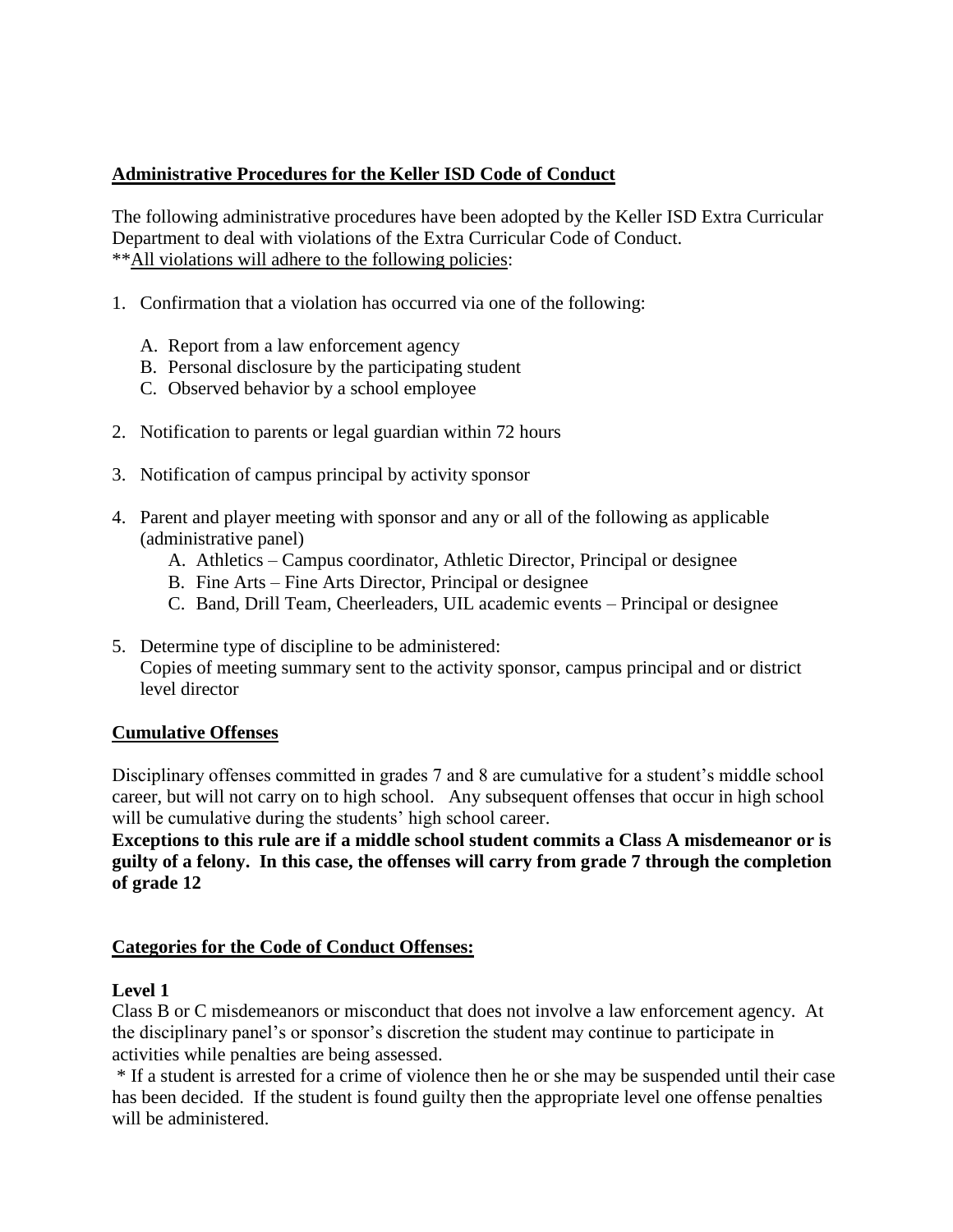### **Administrative Procedures for the Keller ISD Code of Conduct**

The following administrative procedures have been adopted by the Keller ISD Extra Curricular Department to deal with violations of the Extra Curricular Code of Conduct. \*\*All violations will adhere to the following policies:

- 1. Confirmation that a violation has occurred via one of the following:
	- A. Report from a law enforcement agency
	- B. Personal disclosure by the participating student
	- C. Observed behavior by a school employee
- 2. Notification to parents or legal guardian within 72 hours
- 3. Notification of campus principal by activity sponsor
- 4. Parent and player meeting with sponsor and any or all of the following as applicable (administrative panel)
	- A. Athletics Campus coordinator, Athletic Director, Principal or designee
	- B. Fine Arts Fine Arts Director, Principal or designee
	- C. Band, Drill Team, Cheerleaders, UIL academic events Principal or designee
- 5. Determine type of discipline to be administered: Copies of meeting summary sent to the activity sponsor, campus principal and or district level director

### **Cumulative Offenses**

Disciplinary offenses committed in grades 7 and 8 are cumulative for a student's middle school career, but will not carry on to high school. Any subsequent offenses that occur in high school will be cumulative during the students' high school career.

**Exceptions to this rule are if a middle school student commits a Class A misdemeanor or is guilty of a felony. In this case, the offenses will carry from grade 7 through the completion of grade 12**

### **Categories for the Code of Conduct Offenses:**

### **Level 1**

Class B or C misdemeanors or misconduct that does not involve a law enforcement agency. At the disciplinary panel's or sponsor's discretion the student may continue to participate in activities while penalties are being assessed.

\* If a student is arrested for a crime of violence then he or she may be suspended until their case has been decided. If the student is found guilty then the appropriate level one offense penalties will be administered.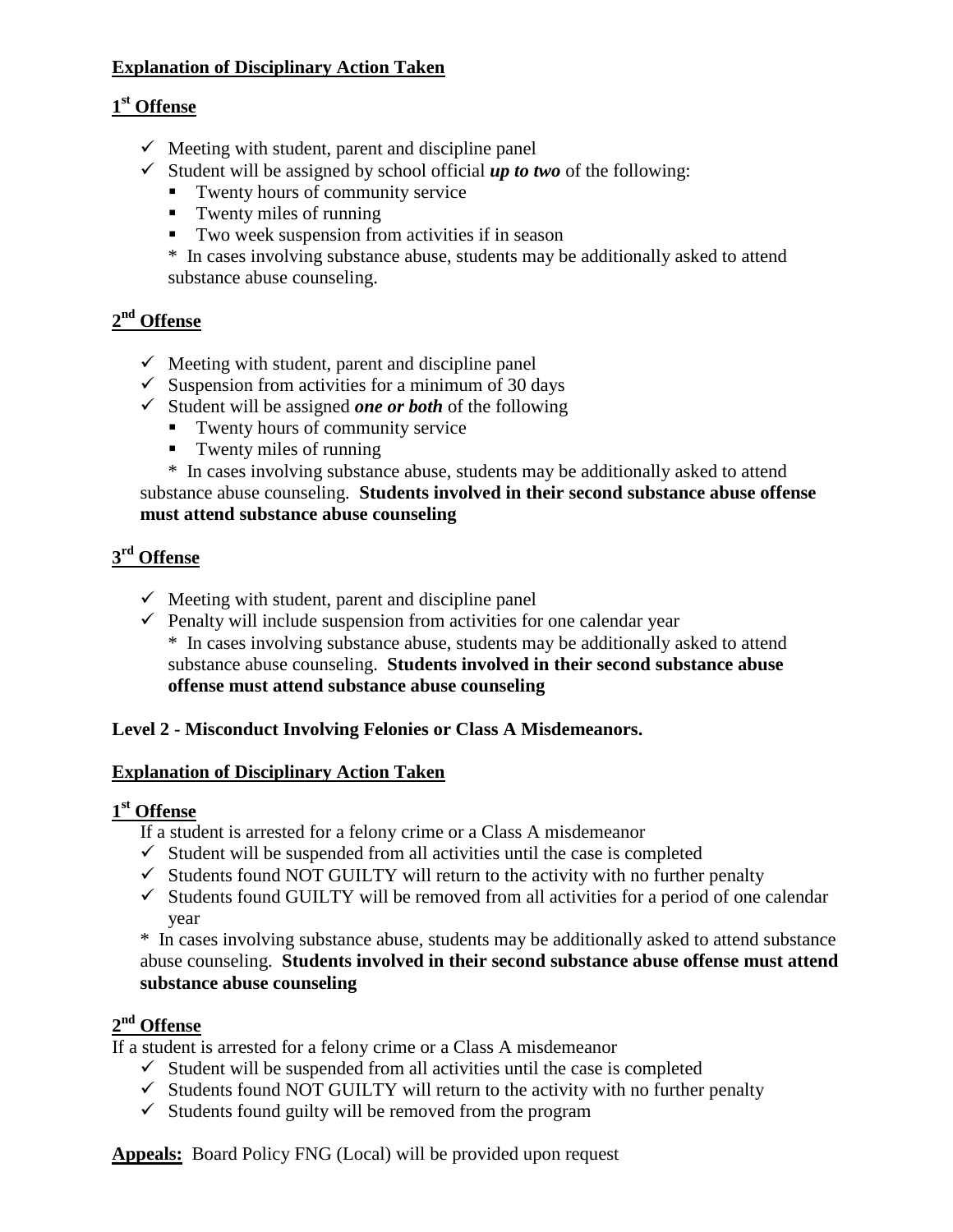## **Explanation of Disciplinary Action Taken**

## **1 st Offense**

- $\checkmark$  Meeting with student, parent and discipline panel
- $\checkmark$  Student will be assigned by school official **up to two** of the following:
	- Twenty hours of community service
	- $\blacksquare$  Twenty miles of running
	- Two week suspension from activities if in season

\* In cases involving substance abuse, students may be additionally asked to attend substance abuse counseling.

## **2 nd Offense**

- $\checkmark$  Meeting with student, parent and discipline panel
- $\checkmark$  Suspension from activities for a minimum of 30 days
- $\checkmark$  Student will be assigned *one or both* of the following
	- Twenty hours of community service
	- Twenty miles of running

\* In cases involving substance abuse, students may be additionally asked to attend substance abuse counseling. **Students involved in their second substance abuse offense must attend substance abuse counseling**

## **3 rd Offense**

- $\checkmark$  Meeting with student, parent and discipline panel
- $\checkmark$  Penalty will include suspension from activities for one calendar year \* In cases involving substance abuse, students may be additionally asked to attend substance abuse counseling. **Students involved in their second substance abuse offense must attend substance abuse counseling**

## **Level 2 - Misconduct Involving Felonies or Class A Misdemeanors.**

### **Explanation of Disciplinary Action Taken**

## **1 st Offense**

- If a student is arrested for a felony crime or a Class A misdemeanor
- $\checkmark$  Student will be suspended from all activities until the case is completed
- $\checkmark$  Students found NOT GUILTY will return to the activity with no further penalty
- $\checkmark$  Students found GUILTY will be removed from all activities for a period of one calendar year

\* In cases involving substance abuse, students may be additionally asked to attend substance abuse counseling. **Students involved in their second substance abuse offense must attend substance abuse counseling**

## **2 nd Offense**

If a student is arrested for a felony crime or a Class A misdemeanor

- $\checkmark$  Student will be suspended from all activities until the case is completed
- $\checkmark$  Students found NOT GUILTY will return to the activity with no further penalty
- $\checkmark$  Students found guilty will be removed from the program

**Appeals:** Board Policy FNG (Local) will be provided upon request